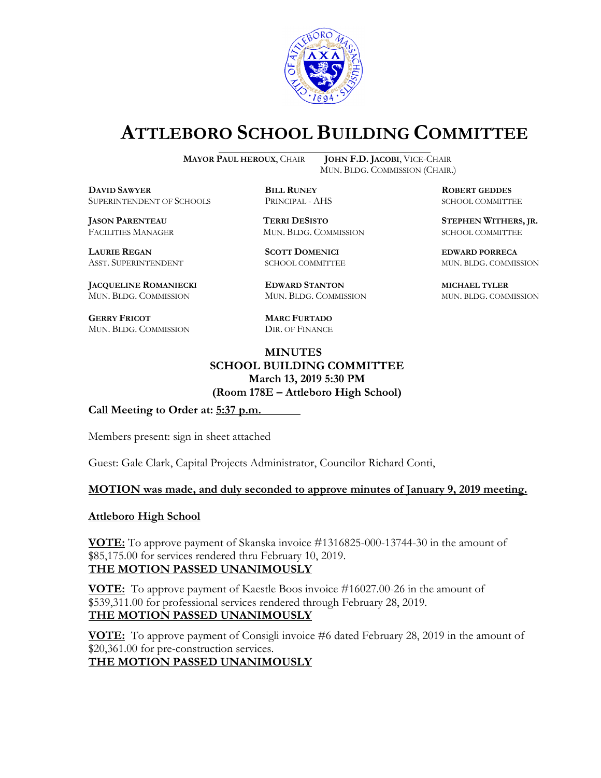

# **ATTLEBORO SCHOOL BUILDING COMMITTEE**

**MAYOR PAUL HEROUX**, CHAIR **JOHN F.D. JACOBI**, VICE-CHAIR

**DDEXIVER BILL RUNEY ROBERT GEDDES**<br> **BILL RUNEY RINGPAL - AHS BOBERT GEDDES** SUPERINTENDENT OF SCHOOLS PRINCIPAL - AHS SCHOOL COMMITTEE

FACILITIES MANAGER MUN. BLDG. COMMISSION SCHOOL COMMITTEE

**LAURIE REGAN SCOTT DOMENICI EDWARD PORRECA**

**JACQUELINE ROMANIECKI EDWARD STANTON MICHAEL TYLER** MUN. BLDG. COMMISSION MUN. BLDG. COMMISSION MUN. BLDG. COMMISSION

**GERRY FRICOT MARC FURTADO** MUN. BLDG. COMMISSION DIR. OF FINANCE

MUN. BLDG. COMMISSION (CHAIR.)

**JASON PARENTEAU TERRI DESISTO STEPHEN WITHERS, JR.**

ASST. SUPERINTENDENT SCHOOL COMMITTEE MUN. BLDG. COMMISSION

## **MINUTES SCHOOL BUILDING COMMITTEE March 13, 2019 5:30 PM (Room 178E – Attleboro High School)**

**Call Meeting to Order at: 5:37 p.m.**

Members present: sign in sheet attached

Guest: Gale Clark, Capital Projects Administrator, Councilor Richard Conti,

#### **MOTION was made, and duly seconded to approve minutes of January 9, 2019 meeting.**

#### **Attleboro High School**

**VOTE:** To approve payment of Skanska invoice #1316825-000-13744-30 in the amount of \$85,175.00 for services rendered thru February 10, 2019. **THE MOTION PASSED UNANIMOUSLY**

**VOTE:** To approve payment of Kaestle Boos invoice #16027.00-26 in the amount of \$539,311.00 for professional services rendered through February 28, 2019. **THE MOTION PASSED UNANIMOUSLY**

**VOTE:** To approve payment of Consigli invoice #6 dated February 28, 2019 in the amount of \$20,361.00 for pre-construction services.

**THE MOTION PASSED UNANIMOUSLY**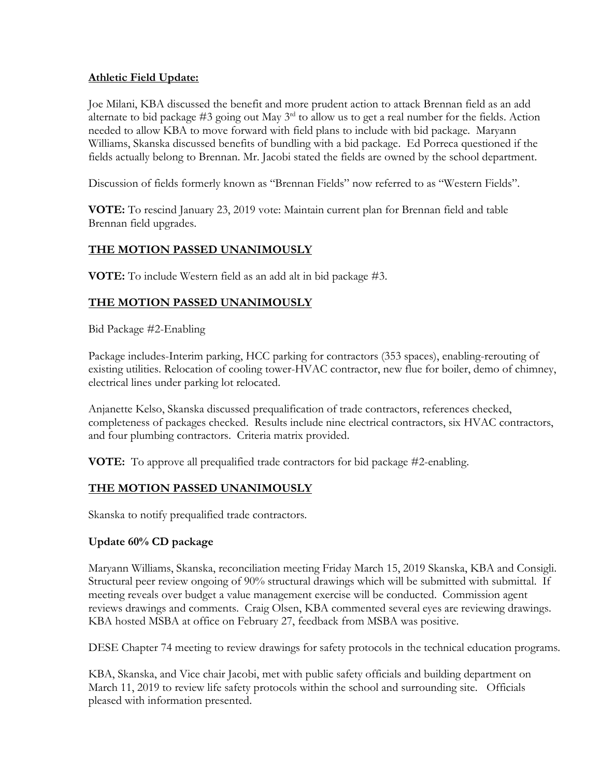## **Athletic Field Update:**

Joe Milani, KBA discussed the benefit and more prudent action to attack Brennan field as an add alternate to bid package #3 going out May 3<sup>rd</sup> to allow us to get a real number for the fields. Action needed to allow KBA to move forward with field plans to include with bid package. Maryann Williams, Skanska discussed benefits of bundling with a bid package. Ed Porreca questioned if the fields actually belong to Brennan. Mr. Jacobi stated the fields are owned by the school department.

Discussion of fields formerly known as "Brennan Fields" now referred to as "Western Fields".

**VOTE:** To rescind January 23, 2019 vote: Maintain current plan for Brennan field and table Brennan field upgrades.

## **THE MOTION PASSED UNANIMOUSLY**

**VOTE:** To include Western field as an add alt in bid package #3.

# **THE MOTION PASSED UNANIMOUSLY**

Bid Package #2-Enabling

Package includes-Interim parking, HCC parking for contractors (353 spaces), enabling-rerouting of existing utilities. Relocation of cooling tower-HVAC contractor, new flue for boiler, demo of chimney, electrical lines under parking lot relocated.

Anjanette Kelso, Skanska discussed prequalification of trade contractors, references checked, completeness of packages checked. Results include nine electrical contractors, six HVAC contractors, and four plumbing contractors. Criteria matrix provided.

**VOTE:** To approve all prequalified trade contractors for bid package #2-enabling.

## **THE MOTION PASSED UNANIMOUSLY**

Skanska to notify prequalified trade contractors.

#### **Update 60% CD package**

Maryann Williams, Skanska, reconciliation meeting Friday March 15, 2019 Skanska, KBA and Consigli. Structural peer review ongoing of 90% structural drawings which will be submitted with submittal. If meeting reveals over budget a value management exercise will be conducted. Commission agent reviews drawings and comments. Craig Olsen, KBA commented several eyes are reviewing drawings. KBA hosted MSBA at office on February 27, feedback from MSBA was positive.

DESE Chapter 74 meeting to review drawings for safety protocols in the technical education programs.

KBA, Skanska, and Vice chair Jacobi, met with public safety officials and building department on March 11, 2019 to review life safety protocols within the school and surrounding site. Officials pleased with information presented.